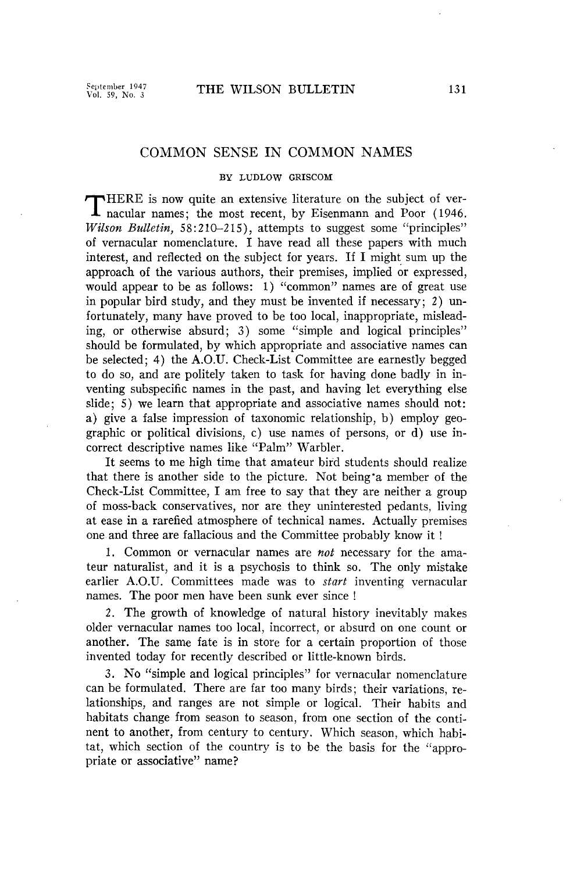## **COMMON SENSE IN COMMON NAMES**

## **BY LUDLOW GRISCOM**

**T HERE is now quite an extensive literature on the subject of ver-nacular names; the most recent, by Eisenmann and Poor (1946.**  Wilson Bulletin, 58:210-215), attempts to suggest some "principles" **of vernacular nomenclature. I have read all these papers with much interest, and reflected on the subject for years. If I might sum up the approach of the various authors, their premises, implied or expressed, would appear to be as follows: 1) "common" names are of great use in popular bird study, and they must be invented if necessary; 2) unfortunately, many have proved to be too local, inappropriate, misleading, or otherwise absurd; 3) some "simple and logical principles" should be formulated, by which appropriate and associative names can be selected; 4) the A.O.U. Check-List Committee are earnestly begged to do so, and are politely taken to task for having done badly in inventing subspecific names in the past, and having let everything else slide; 5) we learn that appropriate and associative names should not: a) give a false impression of taxonomic relationship, b) employ geographic or political divisions, c) use names of persons, or d) use incorrect descriptive names like "Palm" Warbler.** 

**It seems to me high time that amateur bird students should realize that there is another side to the picture. Not being'a member of the Check-List Committee, I am free to say that they are neither a group of moss-back conservatives, nor are they uninterested pedants, living at ease in a rarefied atmosphere of technical names. Actually premises one and three are fallacious and the Committee probably know it !** 

**1. Common or vernacular names are not necessary for the amateur naturalist, and it is a psychosis to think so. The only mistake earlier A.O.U. Committees made was to start inventing vernacular names. The poor men have been sunk ever since !** 

**2. The growth of knowledge of natural history inevitably makes older vernacular names too local, incorrect, or absurd on one count or another. The same fate is in store for a certain proportion of those invented today for recently described or little-known birds.** 

**3. NO "simple and logical principles" for vernacular nomenclature can be formulated. There are far too many birds; their variations, relationships, and ranges are not simple or logical. Their habits and habitats change from season to season, from one section of the continent to another, from century to century. Which season, which habitat, which section of the country is to be the basis for the "appropriate or associative" name?**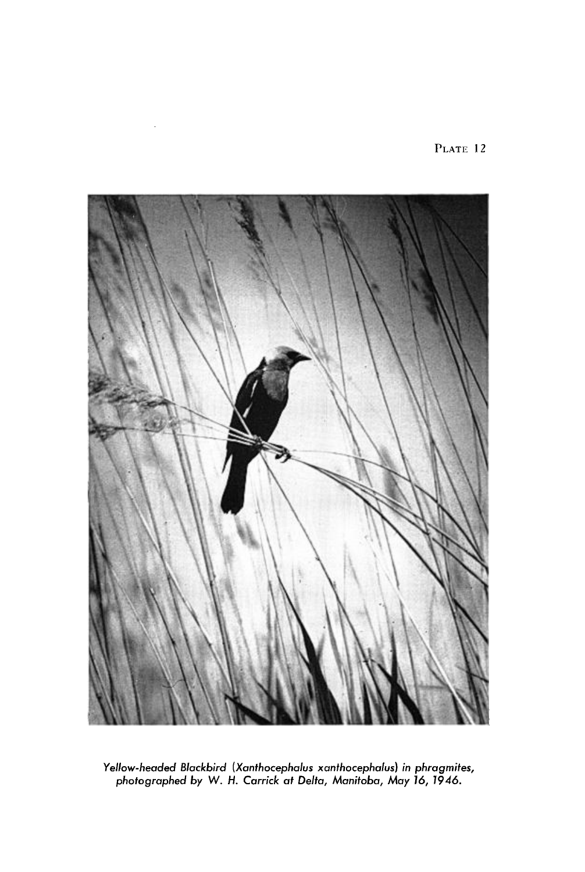**PLATE 12** 



**Yellow-headed Blackbird (Xanthocephalus xanthocephalus) in phragmites, photographed by W. Ii. Carrick at Delta, Manitoba, May 76, 7946.**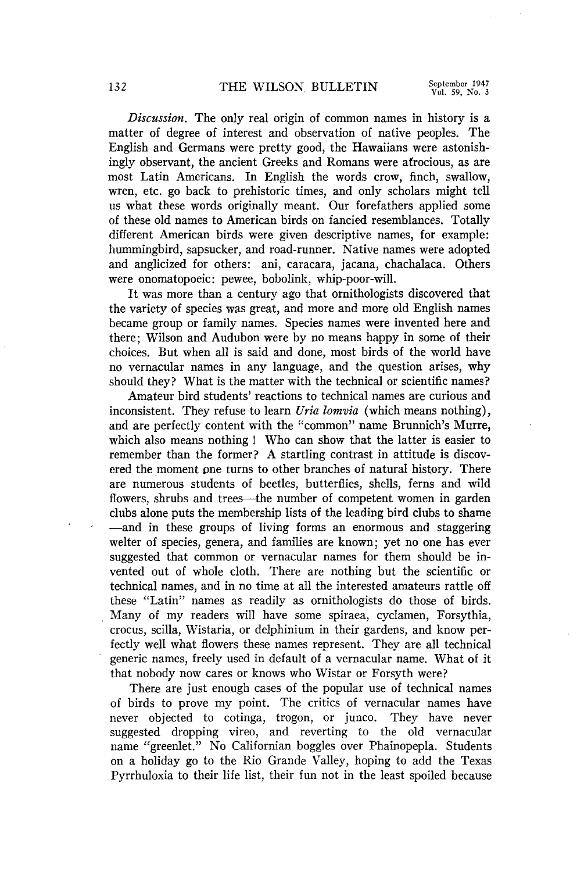**Discussion. The only real origin of common names in history is a matter of degree of interest and observation of native peoples. The English and Germans were pretty good, the Hawaiians were astonishingly observant, the ancient Greeks and Romans were atrocious, as are most Latin Americans. In English the words crow, finch, swallow, wren, etc. go back to prehistoric times, and only scholars might tell us what these words originally meant. Our forefathers applied some of these old names to American birds on fancied resemblances. Totally different American birds were given descriptive names, for example: hummingbird, sapsucker, and road-runner. Native names were adopted and anglicized for others: ani, caracara, jacana, chachalaca. Others were onomatopoeic: pewee, bobolink, whip-poor-will.** 

**It was more than a century ago that ornithologists discovered that the variety of species was great, and more and more old English names became group or family names. Species names were invented here and there; Wilson and Audubon were by no means happy in some of their choices. But when all is said and done, most birds of the world have no vernacular names in any language, and the question arises, why should they? What is the matter with the technical or scientific names?** 

**Amateur bird students' reactions to technical names are curious and**  inconsistent. They refuse to learn *Uria lomvia* (which means nothing). **and are perfectly content with the "common" name Brunnich's Murre, which also means nothing ! Who can show that the latter is easier to remember than the former? A startling contrast in attitude is discov**ered the moment one turns to other branches of natural history. There **are numerous students of beetles, butterflies, shells, ferns and wild flowers, shrubs and trees-the number of competent women in garden clubs alone puts the membership lists of the leading bird clubs to shame . -and in these groups of living forms an enormous and staggering welter of species, genera, and families are known; yet no one has ever suggested that common or vernacular names for them should be invented out of whole cloth. There are nothing but the scientific or technical names, and in no time at all the interested amateurs rattle off these "Latin" names as readily as ornithologists do those of birds. Many of my readers will have some spiraea, cyclamen, Forsythia, crocus, scilla, Wistaria, or delphinium in their gardens, and know perfectly well what flowers these names represent. They are all technical generic names, freely used in default of a vernacular name. What of it that nobody now cares or knows who Wistar or Forsyth were?** 

**There are just enough cases of the popular use of technical names of birds to prove my point. The critics of vernacular names have never objected to cotinga, trogon, or junco. They have never suggested dropping vireo, and reverting to the old vernacular name "greenlet." No Californian boggles over Phainopepla. Students on a holiday go to the Rio Grande Valley, hoping to add the Texas Pyrrhuloxia to their life list, their fun not in the least spoiled because**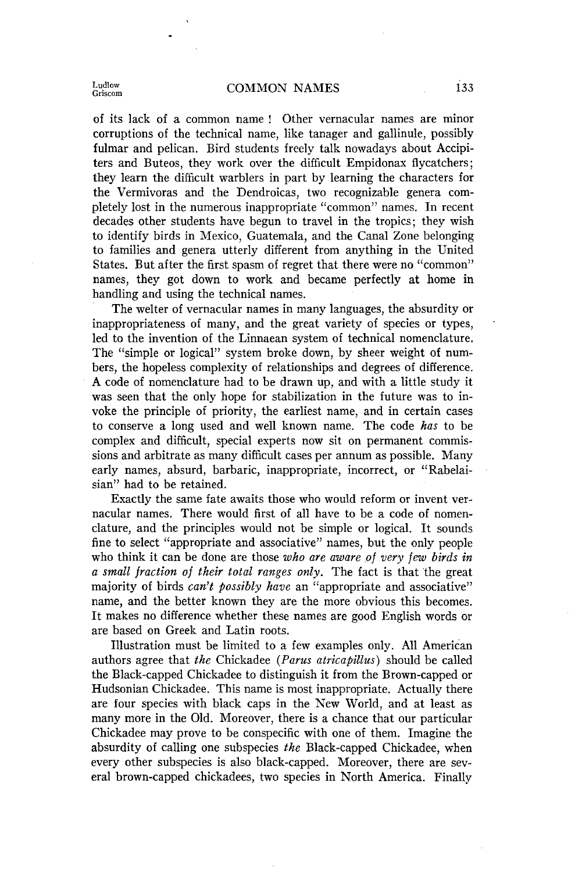**of its lack of a common name ! Other vernacular names are minor corruptions of the technical name, like tanager and gallinule, possibly fulmar and pelican. Bird students freely talk nowadays about Accipiters and Buteos, they work over the difficult Empidonax flycatchers; they learn the difficult warblers in part by learning the characters for the Vermivoras and the Dendroicas, two recognizable genera completely lost in the numerous inappropriate "common" names. In recent decades other students have begun to travel in the tropics; they wish to identify birds in Mexico, Guatemala, and the Canal Zone belonging to families and genera utterly different from anything in the United States. But after the first spasm of regret that there were no "common" names, they got down to work and became perfectly at home in handling and using the technical names.** 

**The welter of vernacular names in many languages, the absurdity or**  inappropriateness of many, and the great variety of species or types, **led to the invention of the Linnaean system of technical nomenclature. The "simple or logical" system broke down, by sheer weight of numbers, the hopeless complexity of relationships and degrees of difference. A code of nomenclature had to be drawn up, and with a little study it was seen that the only hope for stabilization in the future was to invoke the principle of priority, the earliest name, and in certain cases to conserve a long used and well known name. The code has to be complex and difficult, special experts now sit on permanent commissions and arbitrate as many difficult cases per annum as possible. Many early names, absurd, barbaric, inappropriate, incorrect, or "Rabelai-Sian" had to be retained.** 

**Exactly the same fate awaits those who would reform or invent vernacular names. There would first of all have to be a code of nomenclature, and the principles would not be simple or logical. It sounds fine to select "appropriate and associative" names, but the only people who think it can be done are those who are aware of very few birds in a small fraction of their total ranges only. The fact is that 'the great**  majority of birds can't possibly have an "appropriate and associative" **name, and the better known they are the more obvious this becomes. It makes no difference whether these names are good English words or are based on Greek and Latin roots.** 

**Illustration must be limited to a few examples only. All American authors agree that the Chickadee (Parus atricapillus) should be called the Black-capped Chickadee to distinguish it from the Brown-capped or Hudsonian Chickadee. This name is most inappropriate. Actually there are four species with black caps in the New World, and at least as many more in the Old. Moreover, there is a chance that our particular Chickadee may prove to be conspecific with one of them. Imagine the absurdity of calling one subspecies the Black-capped Chickadee, when every other subspecies is also black-capped. Moreover, there are several brown-capped chickadees, two species in North America. Finally** 

Ludlow Griscom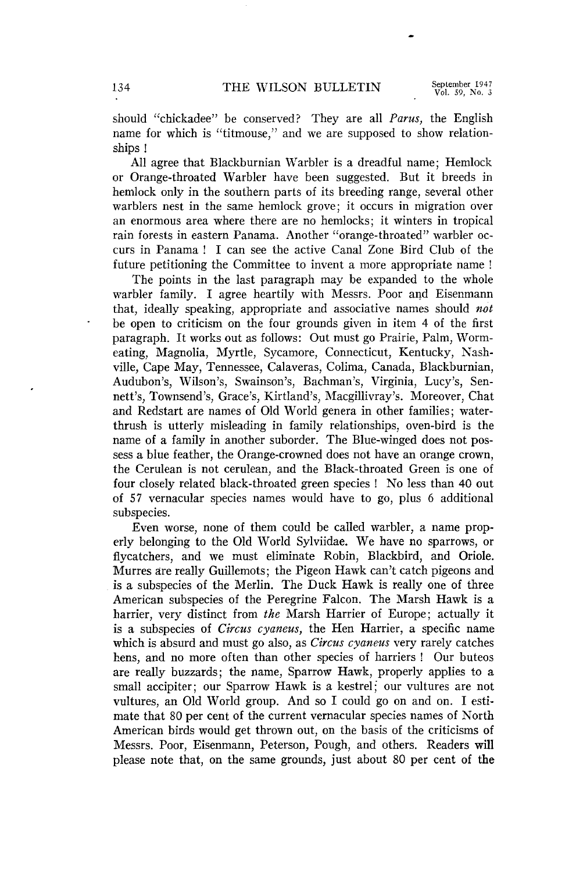**should "chickadee" be conserved? They are all Parus, the English name for which is "titmouse," and we are supposed to show relationships !** 

**All agree that Blackburnian Warbler is a dreadful name; Hemlock or Orange-throated Warbler have been suggested. But it breeds in hemlock only in the southern parts of its breeding range, several other warblers nest in the same hemlock grove; it occurs in migration over an enormous area where there are no hemlocks; it winters in tropical rain forests in eastern Panama. Another "orange-throated" warbler occurs in Panama ! I can see the active Canal Zone Bird Club of the future petitioning the Committee to invent a more appropriate name !** 

**The points in the last paragraph may be expanded to the whole warbler family. I agree heartily with Messrs. Poor and Eisenmann that, ideally speaking, appropriate and associative names should not be open to criticism on the four grounds given in item 4 of the first paragraph. It works out as follows: Out must go Prairie, Palm, Wormeating, Magnolia, Myrtle, Sycamore, Connecticut, Kentucky, Nashville, Cape May, Tennessee, Calaveras, Colima, Canada, Blackburnian, Audubon's, Wilson's, Swainson's, Bachman's, Virginia, Lucy's, Sennett's, Townsend's, Grace's, Kirtland's, Macgillivray's. Moreover, Chat and Redstart are names of Old World genera in other families; waterthrush is utterly misleading in family relationships, oven-bird is the name of a family in another suborder. The Blue-winged does not possess a blue feather, the Orange-crowned does not have an orange crown, the Cerulean is not cerulean, and the Black-throated Green is one of four closely related black-throated green species ! No less than 40 out of 57 vernacular species names would have to go, plus 6 additional subspecies.** 

**Even worse, none of them could be called warbler, a name properly belonging to the Old World Sylviidae. We have no sparrows, or flycatchers, and we must eliminate Robin, Blackbird, and Oriole. Murres are really Guillemots; the Pigeon Hawk can't catch pigeons and is a subspecies of the Merlin. The Duck Hawk is really one of three American subspecies of the Peregrine Falcon. The Marsh Hawk is a harrier, very distinct from the Marsh Harrier of Europe; actually it is a subspecies of Circus cyaneus, the Hen Harrier, a specific name which is absurd and must go also, as Circus cyaneus very rarely catches hens, and no more often than other species of harriers ! Our buteos are really buzzards; the name, Sparrow Hawk, properly applies to a small accipiter; our Sparrow Hawk is a kestrel; our vultures are not vultures, an Old World group. And so I could go on and on. I estimate that 80 per cent of the current vernacular species names of North American birds would get thrown out, on the basis of the criticisms of Messrs. Poor, Eisenmann, Peterson, Pough, and others. Readers will please note that, on the same grounds, just about 80 per cent of the**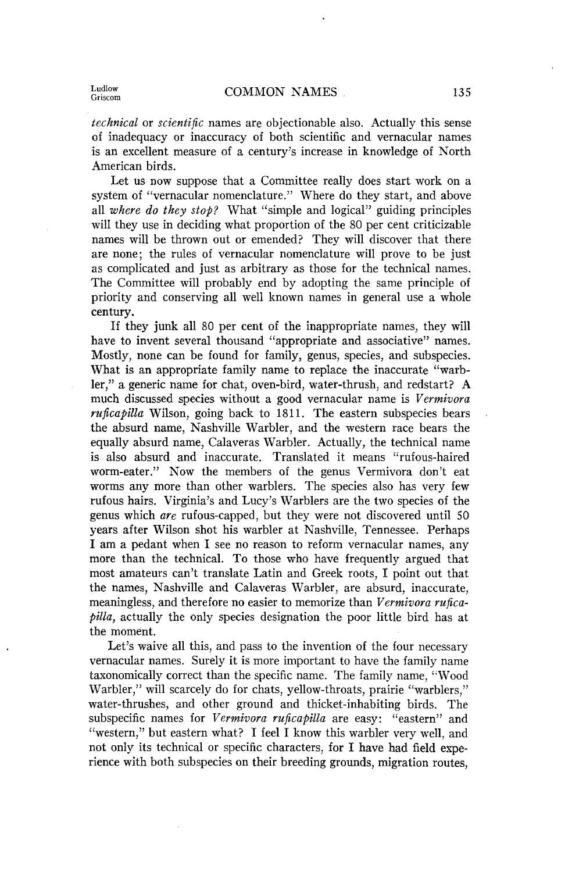**technical or scientific names are objectionable also. Actually this sense of inadequacy or inaccuracy of both scientific and vernacular names is an excellent measure of a century's increase in knowledge of North American birds.** 

**Let us now suppose that a Committee really does start work on a system of "vernacular nomenclature." Where do they start, and above all where do they stop? What "simple and logical" guiding principles will they use in deciding what proportion of the 80 per cent criticizable names will be thrown out or emended? They will discover that there are none; the rules of vernacular nomenclature will prove to be just as complicated and just as arbitrary as those for the technical names. The Committee will probably end by adopting the same principle of priority and conserving all well known names in general use a whole century.** 

**If they junk all 80 per cent of the inappropriate names, they will have to invent several thousand "appropriate and associative" names. Mostly, none can be found for family, genus, species, and subspecies. What is an appropriate family name to replace the inaccurate "warbler," a generic name for chat, oven-bird, water-thrush, and redstart? A much discussed species without a good vernacular name is Vermivora ruficapilla Wilson, going back to 1811. The eastern subspecies bears the absurd name, Nashville Warbler, and the western race bears the equally absurd name, Calaveras Warbler. Actually, the technical name is also absurd and inaccurate. Translated it means "rufous-haired worm-eater." Now the members of the genus Vermivora don't eat worms any more than other warblers. The species also has very few rufous hairs. Virginia's and Lucy's Warblers are the two species of the genus which are rufous-capped, but they were not discovered until 50 years after Wilson shot his warbler at Nashville, Tennessee. Perhaps I am a pedant when I see no reason to reform vernacular names, any more than the technical. To those who have frequently argued that most amateurs can't translate Latin and Greek roots, I point out that the names, Nashville and Calaveras Warbler, are absurd, inaccurate, meaningless, and therefore no easier to memorize than Vermivora ruficapilla, actually the only species designation the poor little bird has at the moment.** 

**Let's waive all this, and pass to the invention of the four necessary vernacular names. Surely it is more important to have the family name taxonomically correct than the specific name. The family name, "Wood**  Warbler," will scarcely do for chats, yellow-throats, prairie "warblers." **water-thrushes, and other ground and thicket-inhabiting birds. The subspecific names for Vermivora ruficapilla are easy: "eastern" and "western," but eastern what? I feel I know this warbler very well, and not only its technical or specific characters, for I have had field experience with both subspecies on their breeding grounds, migration routes,**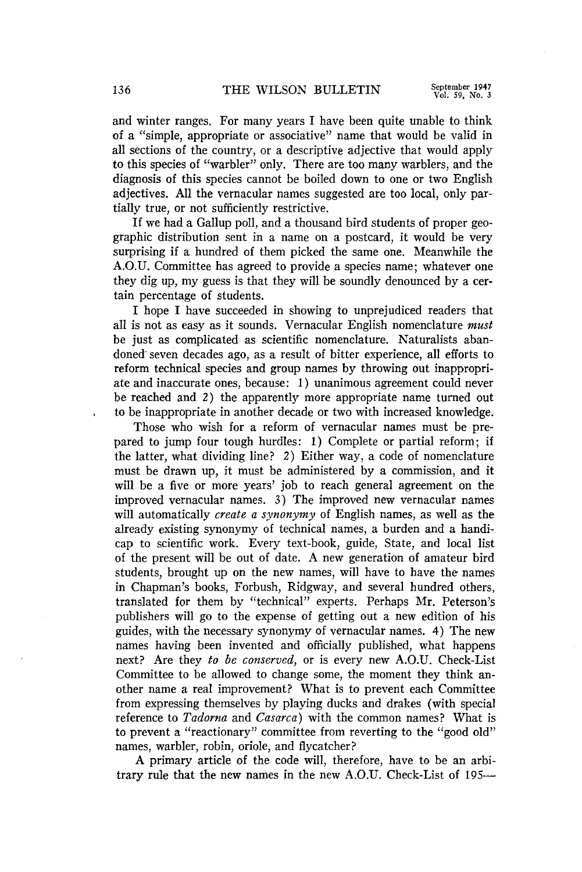**and winter ranges. For many years I have been quite unable to think of a "simple, appropriate or associative" name that would be valid in all sections of the country, or a descriptive adjective that would apply to this species of "warbler" only. There are too many warblers, and the diagnosis of this species cannot be boiled down to one or two English adjectives. All the vernacular names suggested are too local, only partially true, or not sufficiently restrictive.** 

**If we had a Gallup poll, and a thousand bird students of proper geographic distribution sent in a name on a postcard, it would be very surprising if a hundred of them picked the same one. Meanwhile the A.O.U. Committee has agreed to provide a species name; whatever one they dig up, my guess is that they will be soundly denounced by a certain percentage of students.** 

**I hope I have succeeded in showing to unprejudiced readers that all is not as easy as it sounds. Vernacular English nomenclature must be just as complicated as scientific nomenclature. Naturalists abandoned seven decades ago, as a result of bitter experience, all efforts to reform technical species and group names by throwing out inappropriate and inaccurate ones, because: 1) unanimous agreement could never be reached and 2) the apparently more appropriate name turned out , to be inappropriate in another decade or two with increased knowledge.** 

**Those who wish for a reform of vernacular names must be prepared to jump four tough hurdles: 1) Complete or partial reform; if the latter, what dividing line? 2) Either way, a code of nomenclature must be drawn up, it must be administered by a commission, and it will be a five or more years' job to reach general agreement on the improved vernacular names. 3) The improved new vernacular names will automatically create a synonymy of English names, as well as the already existing synonymy of technical names, a burden and a handicap to scientific work. Every text-book, guide, State, and local list of the present will be out of date. A new generation of amateur bird students, brought up on the new names, will have to have the names in Chapman's books, Forbush, Ridgway, and several hundred others, translated for them by "technical" experts. Perhaps Mr. Peterson's publishers will go to the expense of getting out a new edition of his guides, with the necessary synonymy of vernacular names. 4) The new names having been invented and officially published, what happens next? Are they to be conserved, or is every new A.O.U. Check-List Committee to be allowed to change some, the moment they think another name a real improvement? What is to prevent each Committee from expressing themselves by playing ducks and drakes (with special reference to Tadoma and Casarca) with the common names? What is to prevent a "reactionary" committee from reverting to the "good old" names, warbler, robin, oriole, and flycatcher?** 

**A primary article of the code will, therefore, have to be an arbi**trary rule that the new names in the new A.O.U. Check-List of 195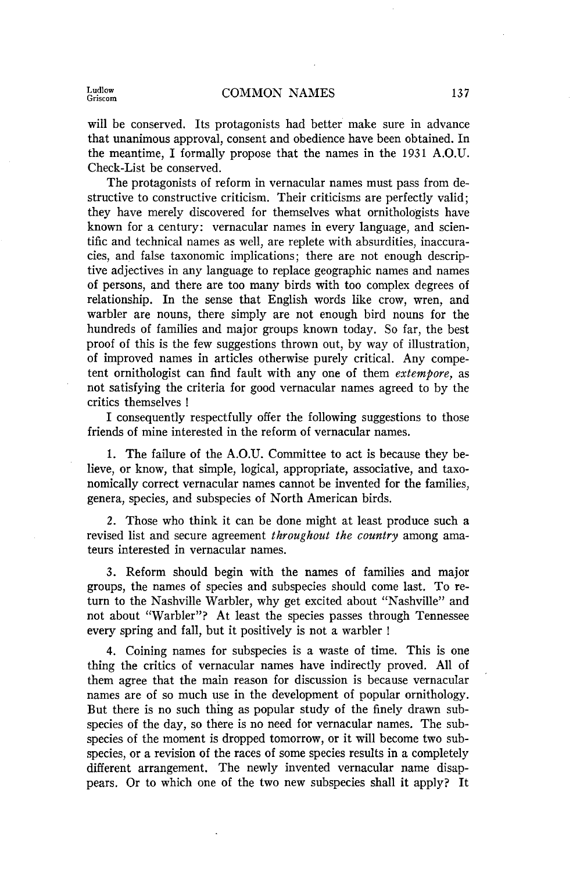**will be conserved. Its protagonists had better make sure in advance that unanimous approval, consent and obedience have been obtained. In the meantime, I formally propose that the names in the 1931 A.O.U. Check-List be conserved.** 

**The protagonists of reform in vernacular names must pass from destructive to constructive criticism. Their criticisms are perfectly valid; they have merely discovered for themselves what ornithologists have known for a century: vernacular names in every language, and scientific and technical names as well, are replete with absurdities, inaccuracies, and false taxonomic implications; there are not enough descriptive adjectives in any language to replace geographic names and names of persons, and there are too many birds with too complex degrees of relationship. In the sense that English words like crow, wren, and warbler are nouns, there simply are not enough bird nouns for the hundreds of families and major groups known today. So far, the best proof of this is the few suggestions thrown out, by way of illustration, of improved names in articles otherwise purely critical. Any competent ornithologist can find fault with any one of them extempore, as not satisfying the criteria for good vernacular names agreed to by the critics themselves !** 

**I consequently respectfully offer the following suggestions to those friends of mine interested in the reform of vernacular names.** 

**1. The failure of the A.O.U. Committee to act is because they believe, or know, that simple, logical, appropriate, associative, and taxonomically correct vernacular names cannot be invented for the families, genera, species, and subspecies of North American birds.** 

**2. Those who think it can be done might at least produce such a revised list and secure agreement throughout the country among amateurs interested in vernacular names.** 

**3. Reform should begin with the names of families and major groups, the names of species and subspecies should come last. To return to the Nashville Warbler, why get excited about "Nashville" and not about "Warbler"? At least the species passes through Tennessee every spring and fall, but it positively is not a warbler !** 

**4. Coining names for subspecies is a waste of time. This is one thing the critics of vernacular names have indirectly proved. All of them agree that the main reason for discussion is because vernacular names are of so much use in the development of popular ornithology. But there is no such thing as popular study of the finely drawn subspecies of the day, so there is no need for vernacular names. The subspecies of the moment is dropped tomorrow, or it will become two subspecies, or a revision of the races of some species results in a completely different arrangement. The newly invented vernacular name disappears. Or to which one of the two new subspecies shall it apply? It**